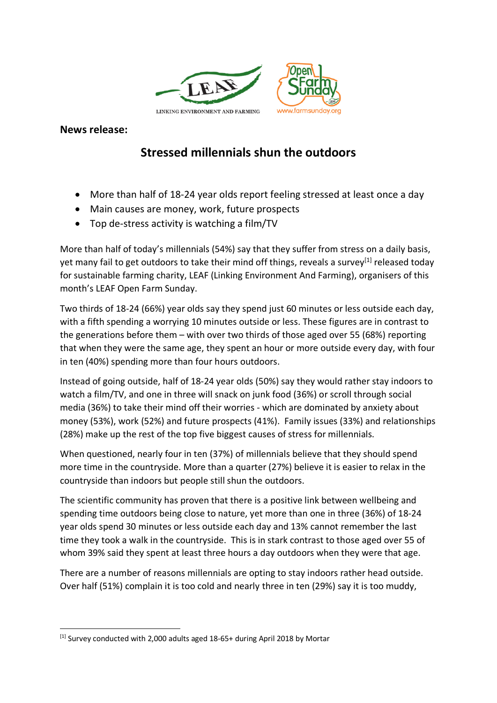

**News release:**

## **Stressed millennials shun the outdoors**

- More than half of 18-24 year olds report feeling stressed at least once a day
- Main causes are money, work, future prospects
- Top de-stress activity is watching a film/TV

More than half of today's millennials (54%) say that they suffer from stress on a daily basis, yet many fail to get outdoors to take their mind off things, reveals a survey<sup>[1]</sup> released today for sustainable farming charity, LEAF (Linking Environment And Farming), organisers of this month's LEAF Open Farm Sunday.

Two thirds of 18-24 (66%) year olds say they spend just 60 minutes or less outside each day, with a fifth spending a worrying 10 minutes outside or less. These figures are in contrast to the generations before them – with over two thirds of those aged over 55 (68%) reporting that when they were the same age, they spent an hour or more outside every day, with four in ten (40%) spending more than four hours outdoors.

Instead of going outside, half of 18-24 year olds (50%) say they would rather stay indoors to watch a film/TV, and one in three will snack on junk food (36%) or scroll through social media (36%) to take their mind off their worries - which are dominated by anxiety about money (53%), work (52%) and future prospects (41%). Family issues (33%) and relationships (28%) make up the rest of the top five biggest causes of stress for millennials.

When questioned, nearly four in ten (37%) of millennials believe that they should spend more time in the countryside. More than a quarter (27%) believe it is easier to relax in the countryside than indoors but people still shun the outdoors.

The scientific community has proven that there is a positive link between wellbeing and spending time outdoors being close to nature, yet more than one in three (36%) of 18-24 year olds spend 30 minutes or less outside each day and 13% cannot remember the last time they took a walk in the countryside. This is in stark contrast to those aged over 55 of whom 39% said they spent at least three hours a day outdoors when they were that age.

There are a number of reasons millennials are opting to stay indoors rather head outside. Over half (51%) complain it is too cold and nearly three in ten (29%) say it is too muddy,

<sup>[1]</sup> Survey conducted with 2,000 adults aged 18-65+ during April 2018 by Mortar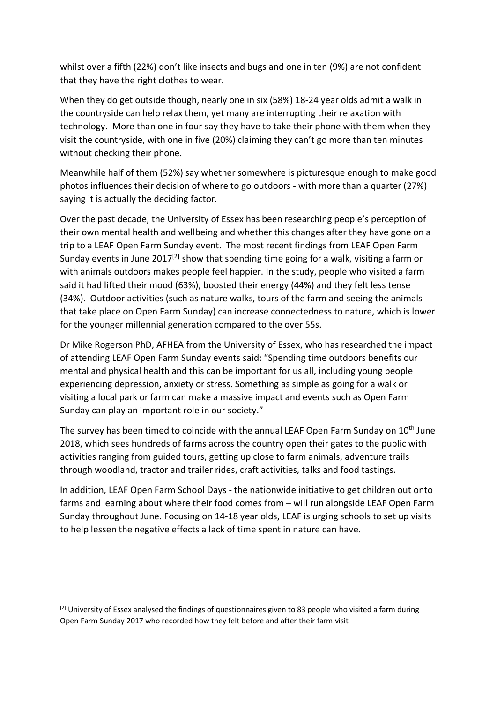whilst over a fifth (22%) don't like insects and bugs and one in ten (9%) are not confident that they have the right clothes to wear.

When they do get outside though, nearly one in six (58%) 18-24 year olds admit a walk in the countryside can help relax them, yet many are interrupting their relaxation with technology. More than one in four say they have to take their phone with them when they visit the countryside, with one in five (20%) claiming they can't go more than ten minutes without checking their phone.

Meanwhile half of them (52%) say whether somewhere is picturesque enough to make good photos influences their decision of where to go outdoors - with more than a quarter (27%) saying it is actually the deciding factor.

Over the past decade, the University of Essex has been researching people's perception of their own mental health and wellbeing and whether this changes after they have gone on a trip to a LEAF Open Farm Sunday event. The most recent findings from LEAF Open Farm Sunday events in June 2017<sup>[2]</sup> show that spending time going for a walk, visiting a farm or with animals outdoors makes people feel happier. In the study, people who visited a farm said it had lifted their mood (63%), boosted their energy (44%) and they felt less tense (34%). Outdoor activities (such as nature walks, tours of the farm and seeing the animals that take place on Open Farm Sunday) can increase connectedness to nature, which is lower for the younger millennial generation compared to the over 55s.

Dr Mike Rogerson PhD, AFHEA from the University of Essex, who has researched the impact of attending LEAF Open Farm Sunday events said: "Spending time outdoors benefits our mental and physical health and this can be important for us all, including young people experiencing depression, anxiety or stress. Something as simple as going for a walk or visiting a local park or farm can make a massive impact and events such as Open Farm Sunday can play an important role in our society."

The survey has been timed to coincide with the annual LEAF Open Farm Sunday on 10<sup>th</sup> June 2018, which sees hundreds of farms across the country open their gates to the public with activities ranging from guided tours, getting up close to farm animals, adventure trails through woodland, tractor and trailer rides, craft activities, talks and food tastings.

In addition, LEAF Open Farm School Days - the nationwide initiative to get children out onto farms and learning about where their food comes from – will run alongside LEAF Open Farm Sunday throughout June. Focusing on 14-18 year olds, LEAF is urging schools to set up visits to help lessen the negative effects a lack of time spent in nature can have.

 $^{[2]}$  University of Essex analysed the findings of questionnaires given to 83 people who visited a farm during Open Farm Sunday 2017 who recorded how they felt before and after their farm visit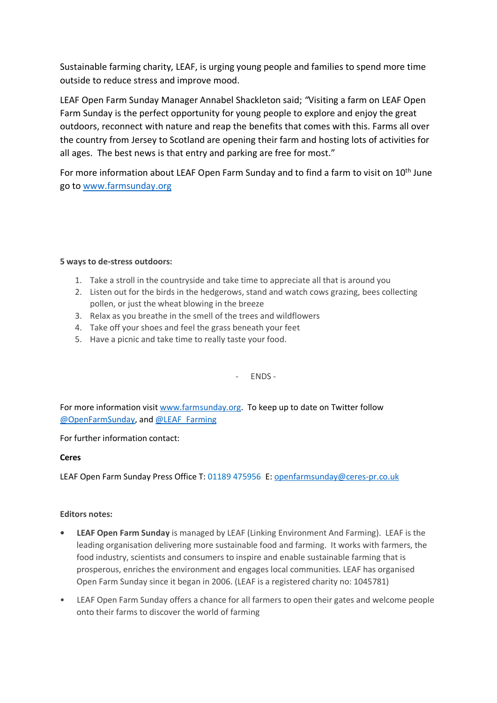Sustainable farming charity, LEAF, is urging young people and families to spend more time outside to reduce stress and improve mood.

LEAF Open Farm Sunday Manager Annabel Shackleton said; *"*Visiting a farm on LEAF Open Farm Sunday is the perfect opportunity for young people to explore and enjoy the great outdoors, reconnect with nature and reap the benefits that comes with this. Farms all over the country from Jersey to Scotland are opening their farm and hosting lots of activities for all ages. The best news is that entry and parking are free for most."

For more information about LEAF Open Farm Sunday and to find a farm to visit on 10<sup>th</sup> June go to www.farmsunday.org

## **5 ways to de-stress outdoors:**

- 1. Take a stroll in the countryside and take time to appreciate all that is around you
- 2. Listen out for the birds in the hedgerows, stand and watch cows grazing, bees collecting pollen, or just the wheat blowing in the breeze
- 3. Relax as you breathe in the smell of the trees and wildflowers
- 4. Take off your shoes and feel the grass beneath your feet
- 5. Have a picnic and take time to really taste your food.

- ENDS -

For more information visit www.farmsunday.org. To keep up to date on Twitter follow @OpenFarmSunday, and @LEAF\_Farming

For further information contact:

## **Ceres**

LEAF Open Farm Sunday Press Office T: 01189 475956 E: openfarmsunday@ceres-pr.co.uk

## **Editors notes:**

- **LEAF Open Farm Sunday** is managed by LEAF (Linking Environment And Farming). LEAF is the leading organisation delivering more sustainable food and farming. It works with farmers, the food industry, scientists and consumers to inspire and enable sustainable farming that is prosperous, enriches the environment and engages local communities. LEAF has organised Open Farm Sunday since it began in 2006. (LEAF is a registered charity no: 1045781)
- LEAF Open Farm Sunday offers a chance for all farmers to open their gates and welcome people onto their farms to discover the world of farming